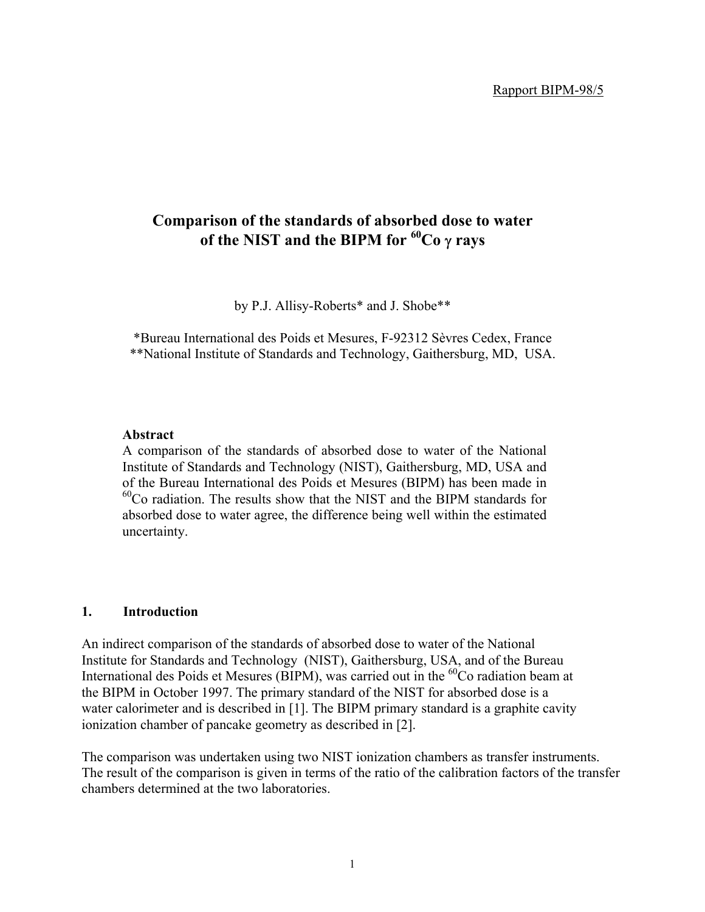# **Comparison of the standards of absorbed dose to water of the NIST and the BIPM for 60Co** γ **rays**

by P.J. Allisy-Roberts\* and J. Shobe\*\*

\*Bureau International des Poids et Mesures, F-92312 Sèvres Cedex, France \*\*National Institute of Standards and Technology, Gaithersburg, MD, USA.

### **Abstract**

A comparison of the standards of absorbed dose to water of the National Institute of Standards and Technology (NIST), Gaithersburg, MD, USA and of the Bureau International des Poids et Mesures (BIPM) has been made in 60Co radiation. The results show that the NIST and the BIPM standards for absorbed dose to water agree, the difference being well within the estimated uncertainty.

# **1. Introduction**

An indirect comparison of the standards of absorbed dose to water of the National Institute for Standards and Technology (NIST), Gaithersburg, USA, and of the Bureau International des Poids et Mesures (BIPM), was carried out in the <sup>60</sup>Co radiation beam at the BIPM in October 1997. The primary standard of the NIST for absorbed dose is a water calorimeter and is described in [1]. The BIPM primary standard is a graphite cavity ionization chamber of pancake geometry as described in [2].

The comparison was undertaken using two NIST ionization chambers as transfer instruments. The result of the comparison is given in terms of the ratio of the calibration factors of the transfer chambers determined at the two laboratories.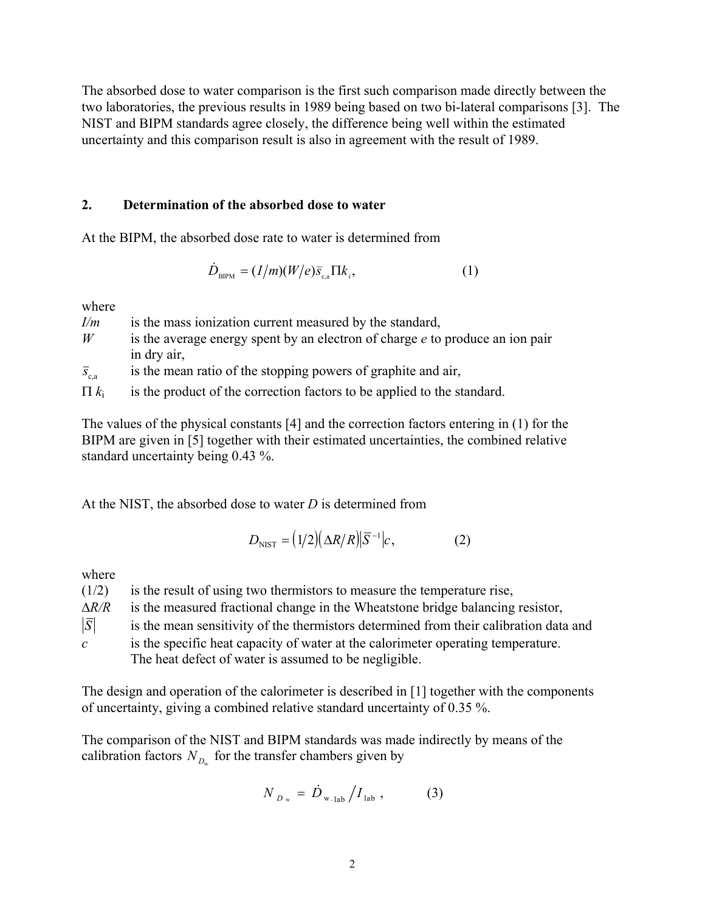The absorbed dose to water comparison is the first such comparison made directly between the two laboratories, the previous results in 1989 being based on two bi-lateral comparisons [3]. The NIST and BIPM standards agree closely, the difference being well within the estimated uncertainty and this comparison result is also in agreement with the result of 1989.

# **2. Determination of the absorbed dose to water**

At the BIPM, the absorbed dose rate to water is determined from

$$
\dot{D}_{\text{BIPM}} = (I/m)(W/e)\bar{s}_{\text{c,a}}\Pi k_{\text{i}},\qquad(1)
$$

where

| I/m                  | is the mass ionization current measured by the standard,                      |
|----------------------|-------------------------------------------------------------------------------|
| W                    | is the average energy spent by an electron of charge e to produce an ion pair |
|                      | in dry air,                                                                   |
| $\overline{S}_{c,a}$ | is the mean ratio of the stopping powers of graphite and air,                 |

 $\Pi k_i$  is the product of the correction factors to be applied to the standard.

The values of the physical constants [4] and the correction factors entering in (1) for the BIPM are given in [5] together with their estimated uncertainties, the combined relative standard uncertainty being 0.43 %.

At the NIST, the absorbed dose to water *D* is determined from

$$
D_{\text{NIST}} = (1/2)(\Delta R/R)|\overline{S}^{-1}|c,\tag{2}
$$

where

| (1/2)            | is the result of using two thermistors to measure the temperature rise,               |
|------------------|---------------------------------------------------------------------------------------|
| $\Delta R/R$     | is the measured fractional change in the Wheatstone bridge balancing resistor,        |
| $ \overline{S} $ | is the mean sensitivity of the thermistors determined from their calibration data and |
| $\mathcal{C}$    | is the specific heat capacity of water at the calorimeter operating temperature.      |

The heat defect of water is assumed to be negligible.

The design and operation of the calorimeter is described in [1] together with the components of uncertainty, giving a combined relative standard uncertainty of 0.35 %.

The comparison of the NIST and BIPM standards was made indirectly by means of the calibration factors  $N_{D_{\mu}}$  for the transfer chambers given by

$$
N_{D_w} = \dot{D}_{w.1ab} / I_{lab} , \qquad (3)
$$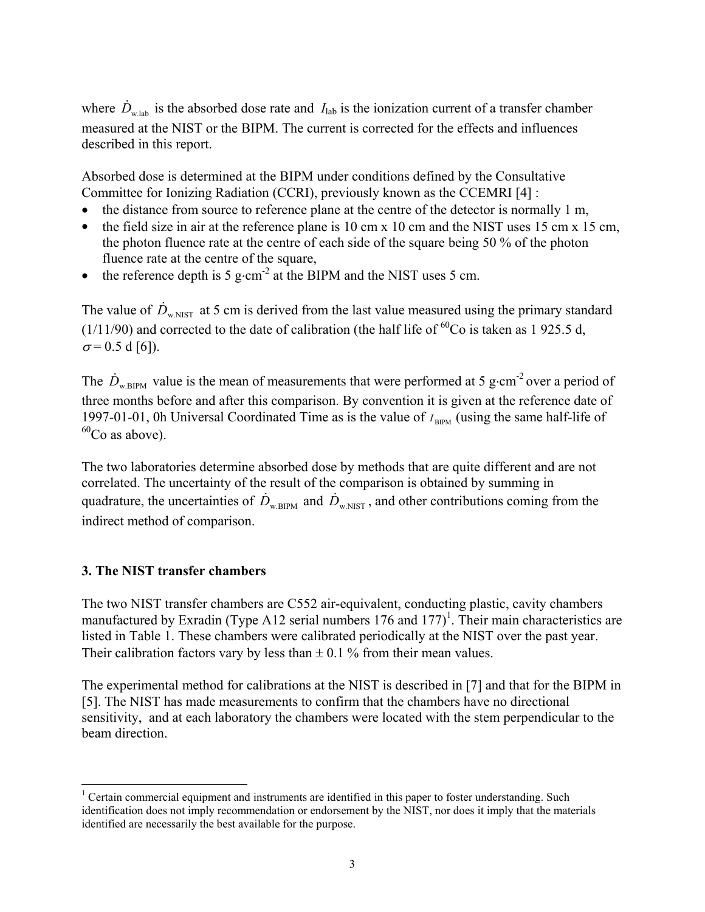where  $\dot{D}_{w,lab}$  is the absorbed dose rate and  $I_{lab}$  is the ionization current of a transfer chamber measured at the NIST or the BIPM. The current is corrected for the effects and influences described in this report.

Absorbed dose is determined at the BIPM under conditions defined by the Consultative Committee for Ionizing Radiation (CCRI), previously known as the CCEMRI [4] :

- the distance from source to reference plane at the centre of the detector is normally 1 m,
- the field size in air at the reference plane is 10 cm x 10 cm and the NIST uses 15 cm x 15 cm, the photon fluence rate at the centre of each side of the square being 50 % of the photon fluence rate at the centre of the square,
- the reference depth is 5 g⋅cm<sup>-2</sup> at the BIPM and the NIST uses 5 cm.

The value of  $\dot{D}_{w,NIST}$  at 5 cm is derived from the last value measured using the primary standard ( $1/11/90$ ) and corrected to the date of calibration (the half life of <sup>60</sup>Co is taken as 1 925.5 d,  $\sigma$  = 0.5 d [6]).

The  $\dot{D}_{w,\text{BIPM}}$  value is the mean of measurements that were performed at 5 g⋅cm<sup>-2</sup> over a period of three months before and after this comparison. By convention it is given at the reference date of 1997-01-01, 0h Universal Coordinated Time as is the value of  $I_{\text{BIPM}}$  (using the same half-life of  $^{60}$ Co as above).

The two laboratories determine absorbed dose by methods that are quite different and are not correlated. The uncertainty of the result of the comparison is obtained by summing in quadrature, the uncertainties of  $\dot{D}_{w, BIPM}$  and  $\dot{D}_{w, NIST}$ , and other contributions coming from the indirect method of comparison.

# **3. The NIST transfer chambers**

The two NIST transfer chambers are C552 air-equivalent, conducting plastic, cavity chambers manufactured by Exradin (Type A12 serial numbers  $176$  and  $177$ )<sup>1</sup>[.](#page-2-0) Their main characteristics are listed in Table 1. These chambers were calibrated periodically at the NIST over the past year. Their calibration factors vary by less than  $\pm$  0.1 % from their mean values.

The experimental method for calibrations at the NIST is described in [7] and that for the BIPM in [5]. The NIST has made measurements to confirm that the chambers have no directional sensitivity, and at each laboratory the chambers were located with the stem perpendicular to the beam direction.

<span id="page-2-0"></span> $\frac{1}{1}$ <sup>1</sup> Certain commercial equipment and instruments are identified in this paper to foster understanding. Such identification does not imply recommendation or endorsement by the NIST, nor does it imply that the materials identified are necessarily the best available for the purpose.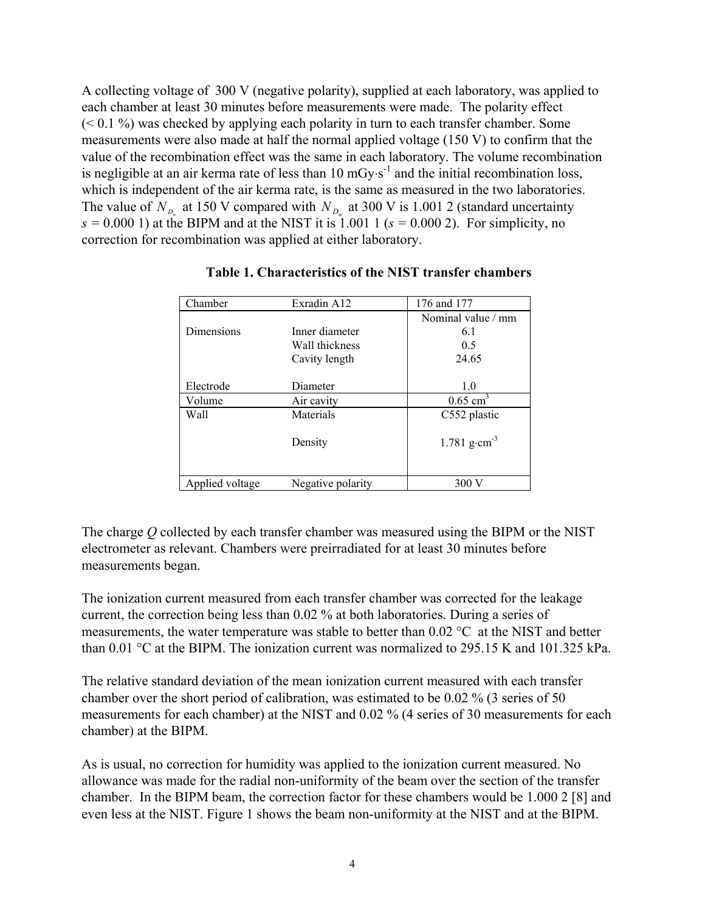A collecting voltage of 300 V (negative polarity), supplied at each laboratory, was applied to each chamber at least 30 minutes before measurements were made. The polarity effect  $(< 0.1\%)$  was checked by applying each polarity in turn to each transfer chamber. Some measurements were also made at half the normal applied voltage (150 V) to confirm that the value of the recombination effect was the same in each laboratory. The volume recombination is negligible at an air kerma rate of less than  $10 \text{ mGy·s}^{-1}$  and the initial recombination loss, which is independent of the air kerma rate, is the same as measured in the two laboratories. The value of  $N_{D_w}$  at 150 V compared with  $N_{D_w}$  at 300 V is 1.001 2 (standard uncertainty  $s = 0.000$  1) at the BIPM and at the NIST it is 1.001 1 ( $s = 0.000$  2). For simplicity, no correction for recombination was applied at either laboratory.

| Chamber         | Exradin A12       | 176 and 177                |
|-----------------|-------------------|----------------------------|
|                 |                   | Nominal value / mm         |
| Dimensions      | Inner diameter    | 6.1                        |
|                 | Wall thickness    | 0.5                        |
|                 | Cavity length     | 24.65                      |
|                 |                   |                            |
| Electrode       | Diameter          | 1.0                        |
| Volume          | Air cavity        | $0.65$ cm <sup>3</sup>     |
| Wall            | Materials         | C552 plastic               |
|                 |                   |                            |
|                 | Density           | $1.781$ g·cm <sup>-3</sup> |
|                 |                   |                            |
|                 |                   |                            |
| Applied voltage | Negative polarity | 300 V                      |

# **Table 1. Characteristics of the NIST transfer chambers**

The charge *Q* collected by each transfer chamber was measured using the BIPM or the NIST electrometer as relevant. Chambers were preirradiated for at least 30 minutes before measurements began.

The ionization current measured from each transfer chamber was corrected for the leakage current, the correction being less than 0.02 % at both laboratories. During a series of measurements, the water temperature was stable to better than 0.02 °C at the NIST and better than 0.01 °C at the BIPM. The ionization current was normalized to 295.15 K and 101.325 kPa.

The relative standard deviation of the mean ionization current measured with each transfer chamber over the short period of calibration, was estimated to be 0.02 % (3 series of 50 measurements for each chamber) at the NIST and 0.02 % (4 series of 30 measurements for each chamber) at the BIPM.

As is usual, no correction for humidity was applied to the ionization current measured. No allowance was made for the radial non-uniformity of the beam over the section of the transfer chamber. In the BIPM beam, the correction factor for these chambers would be 1.000 2 [8] and even less at the NIST. Figure 1 shows the beam non-uniformity at the NIST and at the BIPM.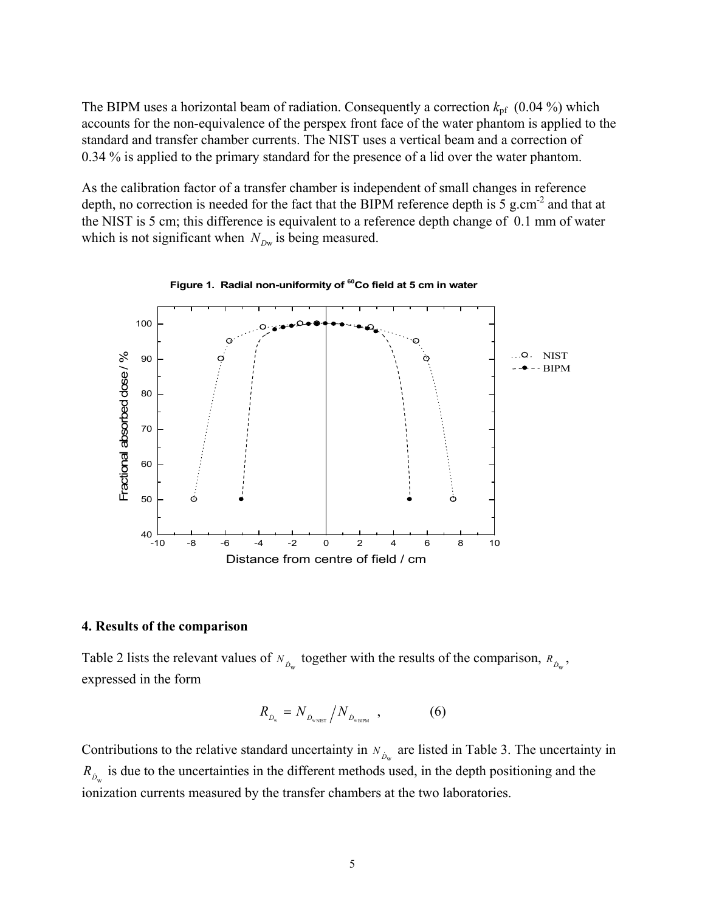The BIPM uses a horizontal beam of radiation. Consequently a correction  $k_{pf}$  (0.04 %) which accounts for the non-equivalence of the perspex front face of the water phantom is applied to the standard and transfer chamber currents. The NIST uses a vertical beam and a correction of 0.34 % is applied to the primary standard for the presence of a lid over the water phantom.

As the calibration factor of a transfer chamber is independent of small changes in reference depth, no correction is needed for the fact that the BIPM reference depth is  $\overline{5}$  g.cm<sup>-2</sup> and that at the NIST is 5 cm; this difference is equivalent to a reference depth change of 0.1 mm of water which is not significant when  $N_{Dw}$  is being measured.



#### **4. Results of the comparison**

Table 2 lists the relevant values of  $N_{\hat{D}_w}$  together with the results of the comparison,  $R_{\hat{D}_w}$ , expressed in the form

$$
R_{\dot{D}_{w}} = N_{\dot{D}_{w_{\text{NIST}}}} / N_{\dot{D}_{w_{\text{BIPM}}}} \,, \tag{6}
$$

Contributions to the relative standard uncertainty in  $N_{\hat{D}_w}$  are listed in Table 3. The uncertainty in  $R_{\hat{D}_{\text{w}}}$  is due to the uncertainties in the different methods used, in the depth positioning and the ionization currents measured by the transfer chambers at the two laboratories.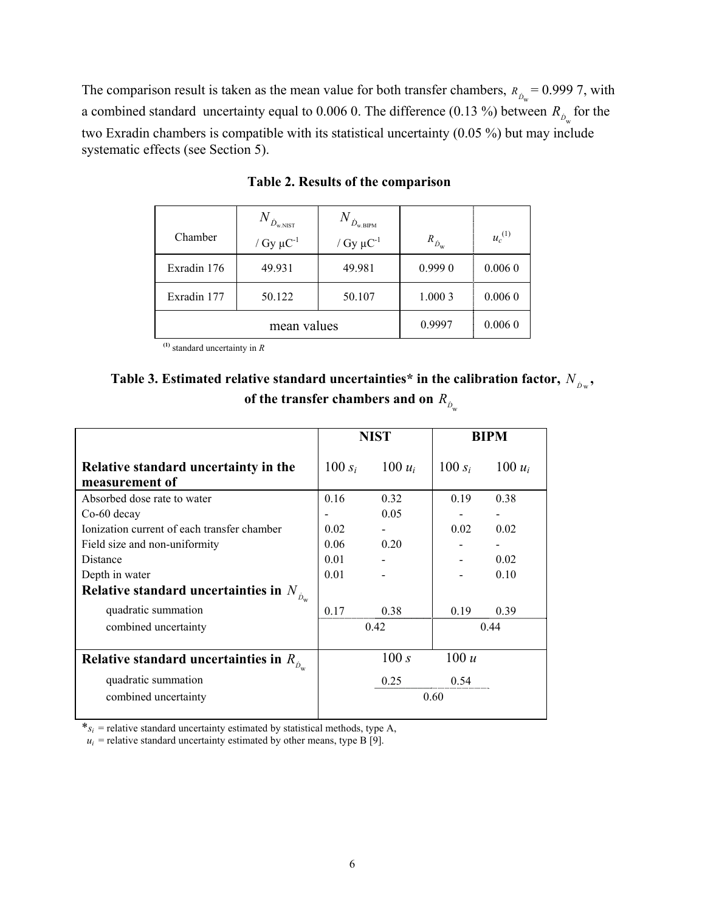The comparison result is taken as the mean value for both transfer chambers,  $R_{\hat{D}_{\text{w}}} = 0.9997$ , with a combined standard uncertainty equal to 0.006 0. The difference (0.13 %) between  $R_{\hat{D}_{\text{w}}}$  for the two Exradin chambers is compatible with its statistical uncertainty (0.05 %) but may include systematic effects (see Section 5).

|             | $N_{\dot{D}_{\rm w.NIST}}$ | $N_{\dot{D}_{\rm w.BIPM}}$ |                       |             |
|-------------|----------------------------|----------------------------|-----------------------|-------------|
| Chamber     | / $Gy \mu C^{-1}$          | / Gy $\mu$ C <sup>-1</sup> | $R_{\dot{D}_{\rm w}}$ | $u_c^{(1)}$ |
| Exradin 176 | 49.931                     | 49.981                     | 0.9990                | 0.0060      |
| Exradin 177 | 50.122                     | 50.107                     | 1.0003                | 0.0060      |
| mean values |                            |                            | 0.9997                | 0.0060      |

**Table 2. Results of the comparison**

**(1)** standard uncertainty in *R*

| Table 3. Estimated relative standard uncertainties* in the calibration factor, $N_{\hat{p}_w}$ , |  |
|--------------------------------------------------------------------------------------------------|--|
| of the transfer chambers and on $R_{\phi}$                                                       |  |

|                                                        | <b>NIST</b> |           | <b>BIPM</b> |           |
|--------------------------------------------------------|-------------|-----------|-------------|-----------|
| Relative standard uncertainty in the<br>measurement of | 100 $s_i$   | $100 u_i$ | $100 s_i$   | 100 $u_i$ |
| Absorbed dose rate to water                            | 0.16        | 0.32      | 0.19        | 0.38      |
| Co-60 decay                                            |             | 0.05      |             |           |
| Ionization current of each transfer chamber            | 0.02        |           | 0.02        | 0.02      |
| Field size and non-uniformity                          | 0.06        | 0.20      |             |           |
| Distance                                               | 0.01        |           |             | 0.02      |
| Depth in water                                         | 0.01        |           |             | 0.10      |
| Relative standard uncertainties in $N_{\hat{D}_{w}}$   |             |           |             |           |
| quadratic summation                                    | 0.17        | 0.38      | 0.19        | 0.39      |
| combined uncertainty                                   |             | 0.42      |             | 0.44      |
| Relative standard uncertainties in $R_{\hat{p}}$       |             | 100 s     | 100 u       |           |
| quadratic summation                                    |             | 0.25      | 0.54        |           |
| combined uncertainty                                   |             |           | 0.60        |           |

 $*_s_i$  = relative standard uncertainty estimated by statistical methods, type A,

 $u_i$  = relative standard uncertainty estimated by other means, type B [9].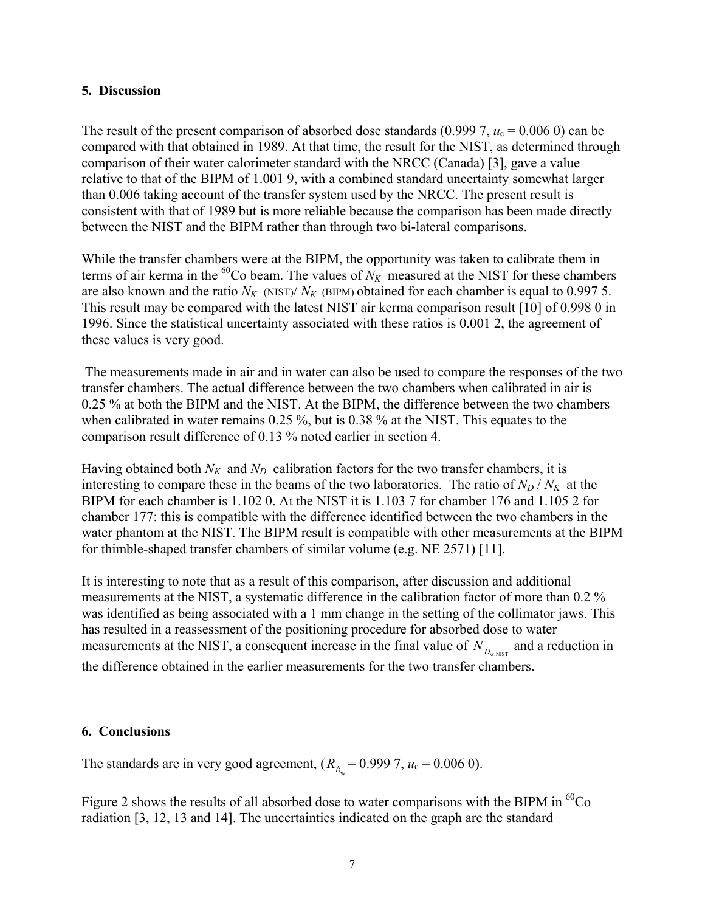# **5. Discussion**

The result of the present comparison of absorbed dose standards  $(0.9997, u_c = 0.0060)$  can be compared with that obtained in 1989. At that time, the result for the NIST, as determined through comparison of their water calorimeter standard with the NRCC (Canada) [3], gave a value relative to that of the BIPM of 1.001 9, with a combined standard uncertainty somewhat larger than 0.006 taking account of the transfer system used by the NRCC. The present result is consistent with that of 1989 but is more reliable because the comparison has been made directly between the NIST and the BIPM rather than through two bi-lateral comparisons.

While the transfer chambers were at the BIPM, the opportunity was taken to calibrate them in terms of air kerma in the  ${}^{60}$ Co beam. The values of  $N_K$  measured at the NIST for these chambers are also known and the ratio  $N_K$  (NIST)/  $N_K$  (BIPM) obtained for each chamber is equal to 0.997 5. This result may be compared with the latest NIST air kerma comparison result [10] of 0.998 0 in 1996. Since the statistical uncertainty associated with these ratios is 0.001 2, the agreement of these values is very good.

 The measurements made in air and in water can also be used to compare the responses of the two transfer chambers. The actual difference between the two chambers when calibrated in air is 0.25 % at both the BIPM and the NIST. At the BIPM, the difference between the two chambers when calibrated in water remains 0.25 %, but is 0.38 % at the NIST. This equates to the comparison result difference of 0.13 % noted earlier in section 4.

Having obtained both  $N_K$  and  $N_D$  calibration factors for the two transfer chambers, it is interesting to compare these in the beams of the two laboratories. The ratio of  $N_D/N_K$  at the BIPM for each chamber is 1.102 0. At the NIST it is 1.103 7 for chamber 176 and 1.105 2 for chamber 177: this is compatible with the difference identified between the two chambers in the water phantom at the NIST. The BIPM result is compatible with other measurements at the BIPM for thimble-shaped transfer chambers of similar volume (e.g. NE 2571) [11].

It is interesting to note that as a result of this comparison, after discussion and additional measurements at the NIST, a systematic difference in the calibration factor of more than 0.2 % was identified as being associated with a 1 mm change in the setting of the collimator jaws. This has resulted in a reassessment of the positioning procedure for absorbed dose to water measurements at the NIST, a consequent increase in the final value of  $N_{\dot{D}_{w, NIST}}$  and a reduction in the difference obtained in the earlier measurements for the two transfer chambers.

# **6. Conclusions**

The standards are in very good agreement,  $(R_{\hat{D}_{\text{w}}} = 0.9997, u_c = 0.0060)$ .

Figure 2 shows the results of all absorbed dose to water comparisons with the BIPM in  ${}^{60}Co$ radiation [3, 12, 13 and 14]. The uncertainties indicated on the graph are the standard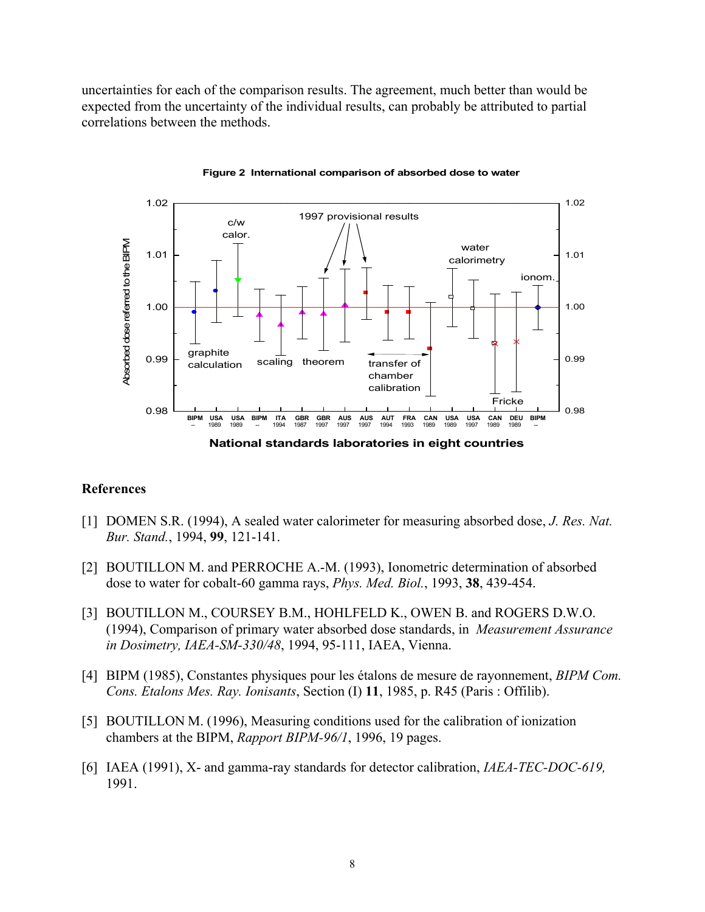uncertainties for each of the comparison results. The agreement, much better than would be expected from the uncertainty of the individual results, can probably be attributed to partial correlations between the methods.



**Figure 2 International comparison of absorbed dose to water**

#### **References**

- [1] DOMEN S.R. (1994), A sealed water calorimeter for measuring absorbed dose, *J. Res. Nat. Bur. Stand.*, 1994, **99**, 121-141.
- [2] BOUTILLON M. and PERROCHE A.-M. (1993), Ionometric determination of absorbed dose to water for cobalt-60 gamma rays, *Phys. Med. Biol.*, 1993, **38**, 439-454.
- [3] BOUTILLON M., COURSEY B.M., HOHLFELD K., OWEN B. and ROGERS D.W.O. (1994), Comparison of primary water absorbed dose standards, in *Measurement Assurance in Dosimetry, IAEA-SM-330/48*, 1994, 95-111, IAEA, Vienna.
- [4] BIPM (1985), Constantes physiques pour les étalons de mesure de rayonnement, *BIPM Com. Cons. Etalons Mes. Ray. Ionisants*, Section (I) **11**, 1985, p. R45 (Paris : Offilib).
- [5] BOUTILLON M. (1996), Measuring conditions used for the calibration of ionization chambers at the BIPM, *Rapport BIPM-96/1*, 1996, 19 pages.
- [6] IAEA (1991), X- and gamma-ray standards for detector calibration, *IAEA-TEC-DOC-619,* 1991.